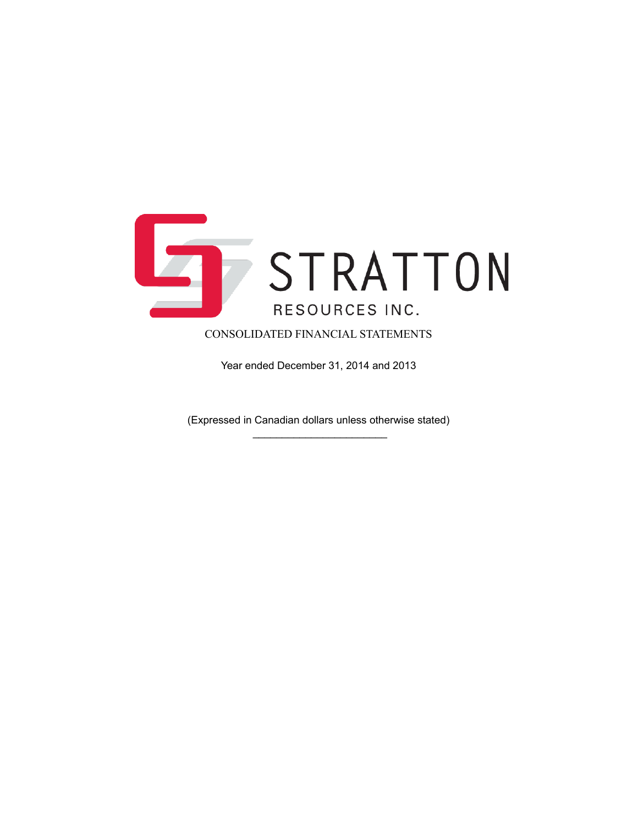

CONSOLIDATED FINANCIAL STATEMENTS

Year ended December 31, 2014 and 2013

(Expressed in Canadian dollars unless otherwise stated)  $\frac{1}{2}$  ,  $\frac{1}{2}$  ,  $\frac{1}{2}$  ,  $\frac{1}{2}$  ,  $\frac{1}{2}$  ,  $\frac{1}{2}$  ,  $\frac{1}{2}$  ,  $\frac{1}{2}$  ,  $\frac{1}{2}$  ,  $\frac{1}{2}$  ,  $\frac{1}{2}$  ,  $\frac{1}{2}$  ,  $\frac{1}{2}$  ,  $\frac{1}{2}$  ,  $\frac{1}{2}$  ,  $\frac{1}{2}$  ,  $\frac{1}{2}$  ,  $\frac{1}{2}$  ,  $\frac{1$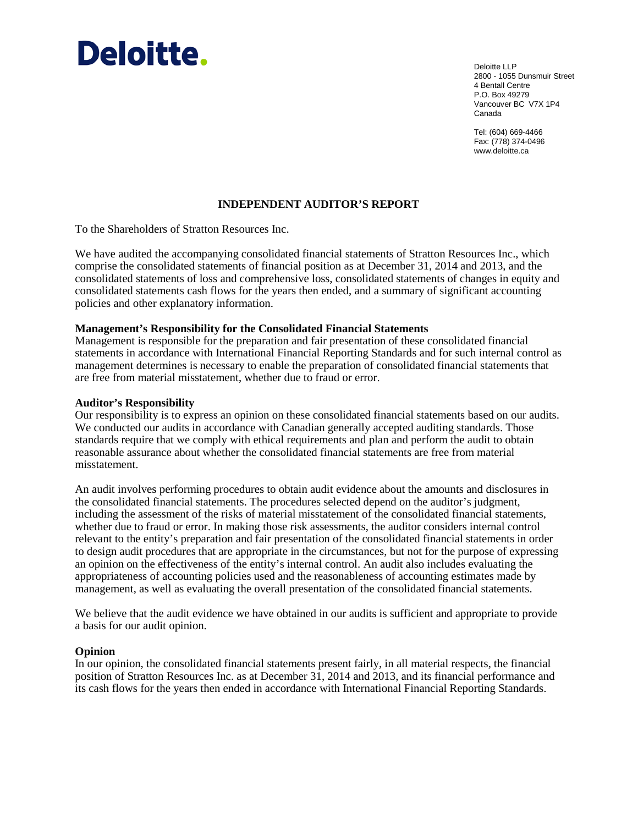# **Deloitte.**

Deloitte LLP 2800 - 1055 Dunsmuir Street 4 Bentall Centre P.O. Box 49279 Vancouver BC V7X 1P4 Canada

Tel: (604) 669-4466 Fax: (778) 374-0496 www.deloitte.ca

# **INDEPENDENT AUDITOR'S REPORT**

To the Shareholders of Stratton Resources Inc.

We have audited the accompanying consolidated financial statements of Stratton Resources Inc., which comprise the consolidated statements of financial position as at December 31, 2014 and 2013, and the consolidated statements of loss and comprehensive loss, consolidated statements of changes in equity and consolidated statements cash flows for the years then ended, and a summary of significant accounting policies and other explanatory information.

# **Management's Responsibility for the Consolidated Financial Statements**

Management is responsible for the preparation and fair presentation of these consolidated financial statements in accordance with International Financial Reporting Standards and for such internal control as management determines is necessary to enable the preparation of consolidated financial statements that are free from material misstatement, whether due to fraud or error.

# **Auditor's Responsibility**

Our responsibility is to express an opinion on these consolidated financial statements based on our audits. We conducted our audits in accordance with Canadian generally accepted auditing standards. Those standards require that we comply with ethical requirements and plan and perform the audit to obtain reasonable assurance about whether the consolidated financial statements are free from material misstatement.

An audit involves performing procedures to obtain audit evidence about the amounts and disclosures in the consolidated financial statements. The procedures selected depend on the auditor's judgment, including the assessment of the risks of material misstatement of the consolidated financial statements, whether due to fraud or error. In making those risk assessments, the auditor considers internal control relevant to the entity's preparation and fair presentation of the consolidated financial statements in order to design audit procedures that are appropriate in the circumstances, but not for the purpose of expressing an opinion on the effectiveness of the entity's internal control. An audit also includes evaluating the appropriateness of accounting policies used and the reasonableness of accounting estimates made by management, as well as evaluating the overall presentation of the consolidated financial statements.

We believe that the audit evidence we have obtained in our audits is sufficient and appropriate to provide a basis for our audit opinion.

# **Opinion**

In our opinion, the consolidated financial statements present fairly, in all material respects, the financial position of Stratton Resources Inc. as at December 31, 2014 and 2013, and its financial performance and its cash flows for the years then ended in accordance with International Financial Reporting Standards.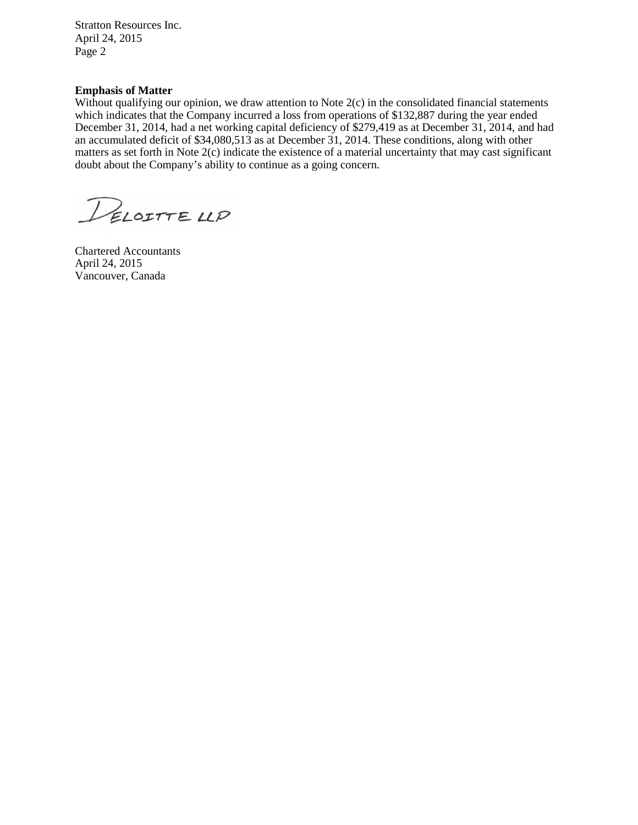Stratton Resources Inc. April 24, 2015 Page 2

# **Emphasis of Matter**

Without qualifying our opinion, we draw attention to Note 2(c) in the consolidated financial statements which indicates that the Company incurred a loss from operations of \$132,887 during the year ended December 31, 2014, had a net working capital deficiency of \$279,419 as at December 31, 2014, and had an accumulated deficit of \$34,080,513 as at December 31, 2014. These conditions, along with other matters as set forth in Note 2(c) indicate the existence of a material uncertainty that may cast significant doubt about the Company's ability to continue as a going concern.

DELOITTE UP

Chartered Accountants April 24, 2015 Vancouver, Canada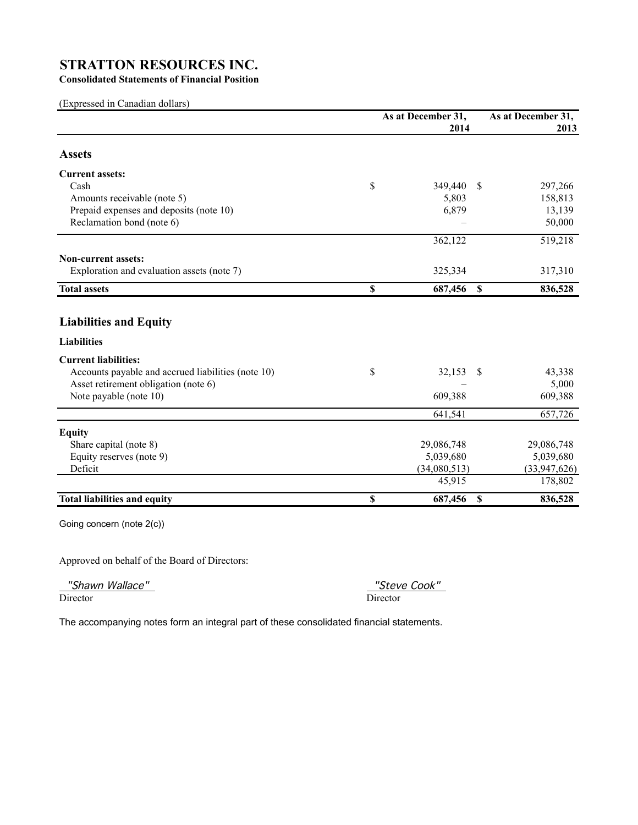**Consolidated Statements of Financial Position**

(Expressed in Canadian dollars)

|                                                    | As at December 31, |                          |  |
|----------------------------------------------------|--------------------|--------------------------|--|
|                                                    | 2014               | 2013                     |  |
| <b>Assets</b>                                      |                    |                          |  |
| <b>Current assets:</b>                             |                    |                          |  |
| Cash                                               | \$<br>349,440      | 297,266<br>-S            |  |
| Amounts receivable (note 5)                        | 5,803              | 158,813                  |  |
| Prepaid expenses and deposits (note 10)            | 6,879              | 13,139                   |  |
| Reclamation bond (note 6)                          |                    | 50,000                   |  |
|                                                    | 362,122            | 519,218                  |  |
| <b>Non-current assets:</b>                         |                    |                          |  |
| Exploration and evaluation assets (note 7)         | 325,334            | 317,310                  |  |
| <b>Total assets</b>                                | \$<br>687,456      | 836,528<br><sup>\$</sup> |  |
| <b>Liabilities and Equity</b>                      |                    |                          |  |
| <b>Liabilities</b>                                 |                    |                          |  |
| <b>Current liabilities:</b>                        |                    |                          |  |
| Accounts payable and accrued liabilities (note 10) | \$<br>32,153       | 43,338<br>S              |  |
| Asset retirement obligation (note 6)               |                    | 5,000                    |  |
| Note payable (note 10)                             | 609,388            | 609,388                  |  |
|                                                    | 641,541            | 657,726                  |  |
| <b>Equity</b>                                      |                    |                          |  |
| Share capital (note 8)                             | 29,086,748         | 29,086,748               |  |
| Equity reserves (note 9)                           | 5,039,680          | 5,039,680                |  |
| Deficit                                            | (34,080,513)       | (33, 947, 626)           |  |
|                                                    | 45,915             | 178,802                  |  |
| <b>Total liabilities and equity</b>                | \$<br>687,456      | 836,528<br>\$            |  |

Going concern (note 2(c))

Approved on behalf of the Board of Directors:

 "Shawn Wallace" "Steve Cook" Director Director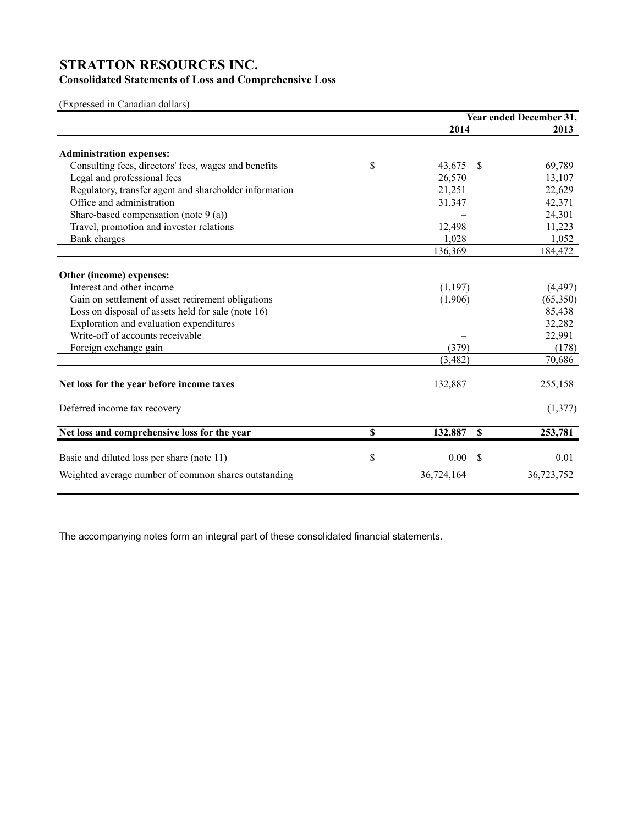# **Consolidated Statements of Loss and Comprehensive Loss**

(Expressed in Canadian dollars)

|                                                        |               |               | Year ended December 31, |
|--------------------------------------------------------|---------------|---------------|-------------------------|
|                                                        | 2014          |               | 2013                    |
| <b>Administration expenses:</b>                        |               |               |                         |
| Consulting fees, directors' fees, wages and benefits   | \$<br>43,675  | <sup>\$</sup> | 69,789                  |
| Legal and professional fees                            | 26,570        |               | 13,107                  |
| Regulatory, transfer agent and shareholder information | 21,251        |               | 22,629                  |
| Office and administration                              | 31,347        |               | 42,371                  |
| Share-based compensation (note 9 (a))                  |               |               | 24,301                  |
| Travel, promotion and investor relations               | 12,498        |               | 11,223                  |
| Bank charges                                           | 1,028         |               | 1,052                   |
|                                                        | 136,369       |               | 184,472                 |
| Other (income) expenses:                               |               |               |                         |
| Interest and other income                              | (1,197)       |               | (4, 497)                |
| Gain on settlement of asset retirement obligations     | (1,906)       |               | (65,350)                |
| Loss on disposal of assets held for sale (note 16)     |               |               | 85,438                  |
| Exploration and evaluation expenditures                |               |               | 32,282                  |
| Write-off of accounts receivable                       |               |               | 22,991                  |
| Foreign exchange gain                                  | (379)         |               | (178)                   |
|                                                        | (3, 482)      |               | 70,686                  |
| Net loss for the year before income taxes              | 132,887       |               | 255,158                 |
| Deferred income tax recovery                           |               |               | (1,377)                 |
| Net loss and comprehensive loss for the year           | \$<br>132,887 | S             | 253,781                 |
| Basic and diluted loss per share (note 11)             | \$<br>0.00    | -S            | 0.01                    |
| Weighted average number of common shares outstanding   | 36,724,164    |               | 36,723,752              |
|                                                        |               |               |                         |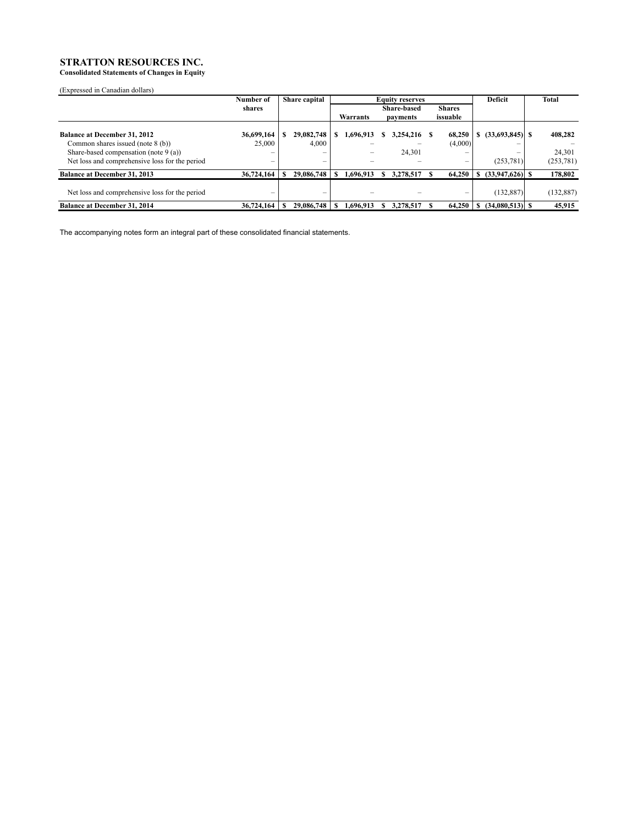**Consolidated Statements of Changes in Equity**

(Expressed in Canadian dollars)

|                                                | Number of  | Share capital              | <b>Equity reserves</b> |           |  | Deficit      | Total                  |                   |            |
|------------------------------------------------|------------|----------------------------|------------------------|-----------|--|--------------|------------------------|-------------------|------------|
|                                                | shares     |                            |                        |           |  | Share-based  | <b>Shares</b>          |                   |            |
|                                                |            |                            |                        | Warrants  |  | payments     | issuable               |                   |            |
|                                                |            |                            |                        |           |  |              |                        |                   |            |
| <b>Balance at December 31, 2012</b>            | 36,699,164 | 29,082,748                 |                        | 1,696,913 |  | 3,254,216 \$ | 68,250                 |                   | 408,282    |
| Common shares issued (note 8 (b))              | 25,000     | 4,000                      |                        |           |  |              | (4,000)                |                   |            |
| Share-based compensation (note $9(a)$ )        |            | -                          |                        |           |  | 24,301       | -                      |                   | 24,301     |
| Net loss and comprehensive loss for the period | -          | $\qquad \qquad \  \  \, -$ |                        |           |  |              | $\qquad \qquad \qquad$ | (253,781)         | (253, 781) |
| <b>Balance at December 31, 2013</b>            | 36,724,164 | 29,086,748                 |                        | 1.696.913 |  | 3.278.517    | 64,250                 | $(33,947,626)$ \$ | 178,802    |
|                                                |            |                            |                        |           |  |              |                        |                   |            |
| Net loss and comprehensive loss for the period | -          | –                          |                        |           |  |              | -                      | (132, 887)        | (132, 887) |
| <b>Balance at December 31, 2014</b>            | 36,724,164 | 29,086,748                 |                        | 1.696.913 |  | 3.278.517    | 64,250                 | $(34,080,513)$ S  | 45,915     |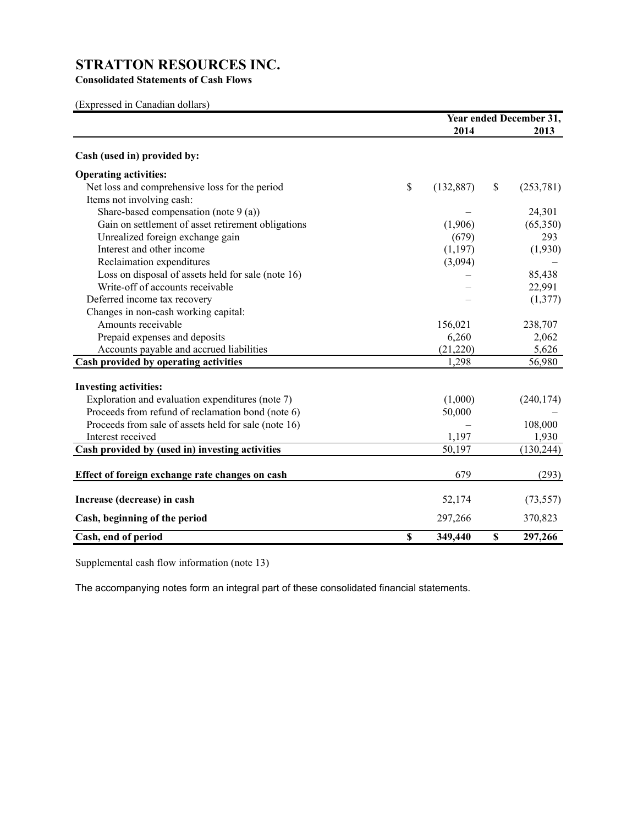**Consolidated Statements of Cash Flows**

(Expressed in Canadian dollars)

|                                                      |              | Year ended December 31, |    |            |  |
|------------------------------------------------------|--------------|-------------------------|----|------------|--|
|                                                      |              | 2014                    |    | 2013       |  |
| Cash (used in) provided by:                          |              |                         |    |            |  |
| <b>Operating activities:</b>                         |              |                         |    |            |  |
| Net loss and comprehensive loss for the period       | $\mathbb{S}$ | (132, 887)              | \$ | (253, 781) |  |
| Items not involving cash:                            |              |                         |    |            |  |
| Share-based compensation (note 9 (a))                |              |                         |    | 24,301     |  |
| Gain on settlement of asset retirement obligations   |              | (1,906)                 |    | (65,350)   |  |
| Unrealized foreign exchange gain                     |              | (679)                   |    | 293        |  |
| Interest and other income                            |              | (1, 197)                |    | (1,930)    |  |
| Reclaimation expenditures                            |              | (3,094)                 |    |            |  |
| Loss on disposal of assets held for sale (note 16)   |              |                         |    | 85,438     |  |
| Write-off of accounts receivable                     |              |                         |    | 22,991     |  |
| Deferred income tax recovery                         |              |                         |    | (1,377)    |  |
| Changes in non-cash working capital:                 |              |                         |    |            |  |
| Amounts receivable                                   |              | 156,021                 |    | 238,707    |  |
| Prepaid expenses and deposits                        |              | 6,260                   |    | 2,062      |  |
| Accounts payable and accrued liabilities             |              | (21, 220)               |    | 5,626      |  |
| Cash provided by operating activities                |              | 1,298                   |    | 56,980     |  |
|                                                      |              |                         |    |            |  |
| <b>Investing activities:</b>                         |              |                         |    |            |  |
| Exploration and evaluation expenditures (note 7)     |              | (1,000)                 |    | (240, 174) |  |
| Proceeds from refund of reclamation bond (note 6)    |              | 50,000                  |    |            |  |
| Proceeds from sale of assets held for sale (note 16) |              |                         |    | 108,000    |  |
| Interest received                                    |              | 1,197                   |    | 1,930      |  |
| Cash provided by (used in) investing activities      |              | 50,197                  |    | (130, 244) |  |
|                                                      |              |                         |    |            |  |
| Effect of foreign exchange rate changes on cash      |              | 679                     |    | (293)      |  |
| Increase (decrease) in cash                          |              | 52,174                  |    | (73, 557)  |  |
| Cash, beginning of the period                        |              | 297,266                 |    | 370,823    |  |
| Cash, end of period                                  | $\mathbf S$  | 349,440                 | \$ | 297,266    |  |

Supplemental cash flow information (note 13)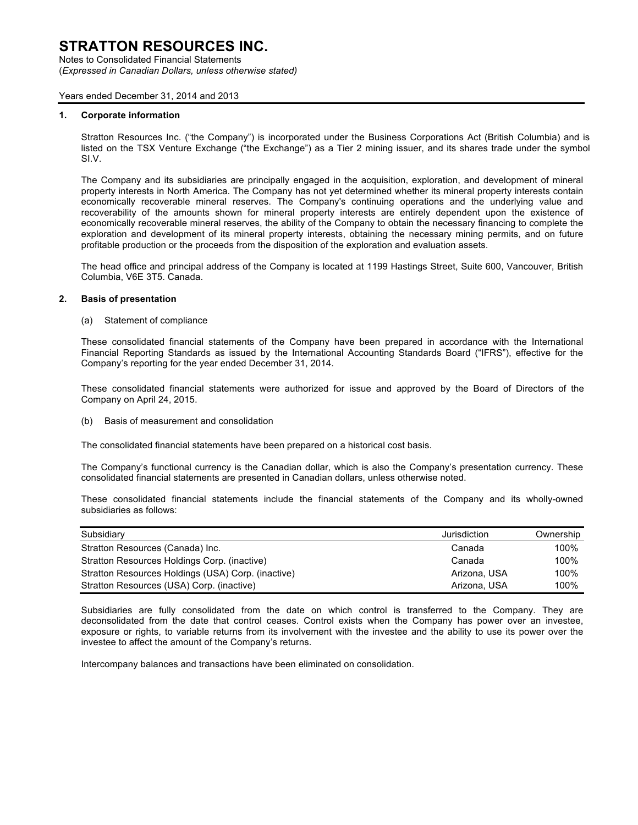Notes to Consolidated Financial Statements (*Expressed in Canadian Dollars, unless otherwise stated)*

#### Years ended December 31, 2014 and 2013

#### **1. Corporate information**

Stratton Resources Inc. ("the Company") is incorporated under the Business Corporations Act (British Columbia) and is listed on the TSX Venture Exchange ("the Exchange") as a Tier 2 mining issuer, and its shares trade under the symbol SI.V.

The Company and its subsidiaries are principally engaged in the acquisition, exploration, and development of mineral property interests in North America. The Company has not yet determined whether its mineral property interests contain economically recoverable mineral reserves. The Company's continuing operations and the underlying value and recoverability of the amounts shown for mineral property interests are entirely dependent upon the existence of economically recoverable mineral reserves, the ability of the Company to obtain the necessary financing to complete the exploration and development of its mineral property interests, obtaining the necessary mining permits, and on future profitable production or the proceeds from the disposition of the exploration and evaluation assets.

The head office and principal address of the Company is located at 1199 Hastings Street, Suite 600, Vancouver, British Columbia, V6E 3T5. Canada.

#### **2. Basis of presentation**

(a) Statement of compliance

These consolidated financial statements of the Company have been prepared in accordance with the International Financial Reporting Standards as issued by the International Accounting Standards Board ("IFRS"), effective for the Company's reporting for the year ended December 31, 2014.

These consolidated financial statements were authorized for issue and approved by the Board of Directors of the Company on April 24, 2015.

(b) Basis of measurement and consolidation

The consolidated financial statements have been prepared on a historical cost basis.

The Company's functional currency is the Canadian dollar, which is also the Company's presentation currency. These consolidated financial statements are presented in Canadian dollars, unless otherwise noted.

These consolidated financial statements include the financial statements of the Company and its wholly-owned subsidiaries as follows:

| Subsidiary                                         | Jurisdiction | Ownership |
|----------------------------------------------------|--------------|-----------|
| Stratton Resources (Canada) Inc.                   | Canada       | 100%      |
| Stratton Resources Holdings Corp. (inactive)       | Canada       | 100%      |
| Stratton Resources Holdings (USA) Corp. (inactive) | Arizona, USA | 100%      |
| Stratton Resources (USA) Corp. (inactive)          | Arizona, USA | 100%      |

Subsidiaries are fully consolidated from the date on which control is transferred to the Company. They are deconsolidated from the date that control ceases. Control exists when the Company has power over an investee, exposure or rights, to variable returns from its involvement with the investee and the ability to use its power over the investee to affect the amount of the Company's returns.

Intercompany balances and transactions have been eliminated on consolidation.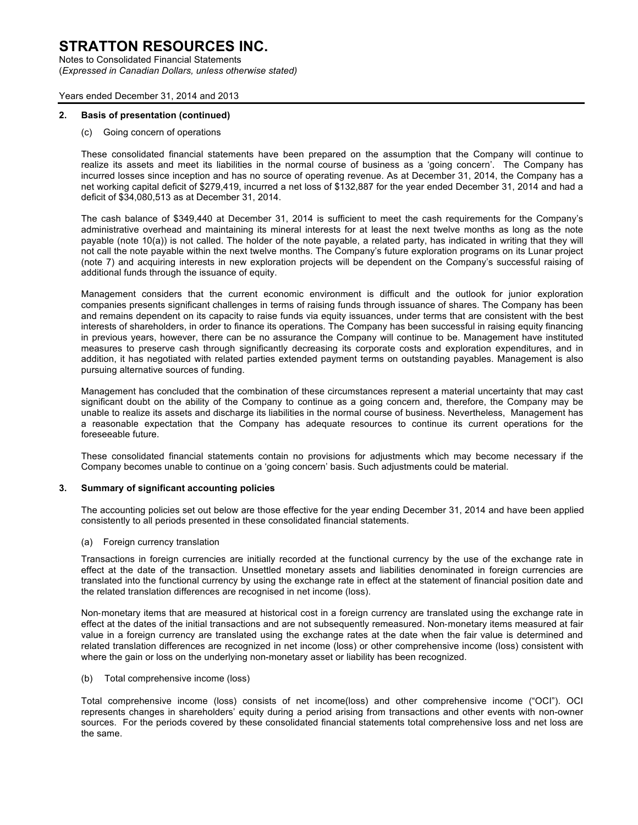Notes to Consolidated Financial Statements (*Expressed in Canadian Dollars, unless otherwise stated)*

### Years ended December 31, 2014 and 2013

#### **2. Basis of presentation (continued)**

(c) Going concern of operations

These consolidated financial statements have been prepared on the assumption that the Company will continue to realize its assets and meet its liabilities in the normal course of business as a 'going concern'. The Company has incurred losses since inception and has no source of operating revenue. As at December 31, 2014, the Company has a net working capital deficit of \$279,419, incurred a net loss of \$132,887 for the year ended December 31, 2014 and had a deficit of \$34,080,513 as at December 31, 2014.

The cash balance of \$349,440 at December 31, 2014 is sufficient to meet the cash requirements for the Company's administrative overhead and maintaining its mineral interests for at least the next twelve months as long as the note payable (note 10(a)) is not called. The holder of the note payable, a related party, has indicated in writing that they will not call the note payable within the next twelve months. The Company's future exploration programs on its Lunar project (note 7) and acquiring interests in new exploration projects will be dependent on the Company's successful raising of additional funds through the issuance of equity.

Management considers that the current economic environment is difficult and the outlook for junior exploration companies presents significant challenges in terms of raising funds through issuance of shares. The Company has been and remains dependent on its capacity to raise funds via equity issuances, under terms that are consistent with the best interests of shareholders, in order to finance its operations. The Company has been successful in raising equity financing in previous years, however, there can be no assurance the Company will continue to be. Management have instituted measures to preserve cash through significantly decreasing its corporate costs and exploration expenditures, and in addition, it has negotiated with related parties extended payment terms on outstanding payables. Management is also pursuing alternative sources of funding.

Management has concluded that the combination of these circumstances represent a material uncertainty that may cast significant doubt on the ability of the Company to continue as a going concern and, therefore, the Company may be unable to realize its assets and discharge its liabilities in the normal course of business. Nevertheless, Management has a reasonable expectation that the Company has adequate resources to continue its current operations for the foreseeable future.

These consolidated financial statements contain no provisions for adjustments which may become necessary if the Company becomes unable to continue on a 'going concern' basis. Such adjustments could be material.

# **3. Summary of significant accounting policies**

The accounting policies set out below are those effective for the year ending December 31, 2014 and have been applied consistently to all periods presented in these consolidated financial statements.

#### (a) Foreign currency translation

Transactions in foreign currencies are initially recorded at the functional currency by the use of the exchange rate in effect at the date of the transaction. Unsettled monetary assets and liabilities denominated in foreign currencies are translated into the functional currency by using the exchange rate in effect at the statement of financial position date and the related translation differences are recognised in net income (loss).

Non-monetary items that are measured at historical cost in a foreign currency are translated using the exchange rate in effect at the dates of the initial transactions and are not subsequently remeasured. Non-monetary items measured at fair value in a foreign currency are translated using the exchange rates at the date when the fair value is determined and related translation differences are recognized in net income (loss) or other comprehensive income (loss) consistent with where the gain or loss on the underlying non-monetary asset or liability has been recognized.

(b) Total comprehensive income (loss)

Total comprehensive income (loss) consists of net income(loss) and other comprehensive income ("OCI"). OCI represents changes in shareholders' equity during a period arising from transactions and other events with non-owner sources. For the periods covered by these consolidated financial statements total comprehensive loss and net loss are the same.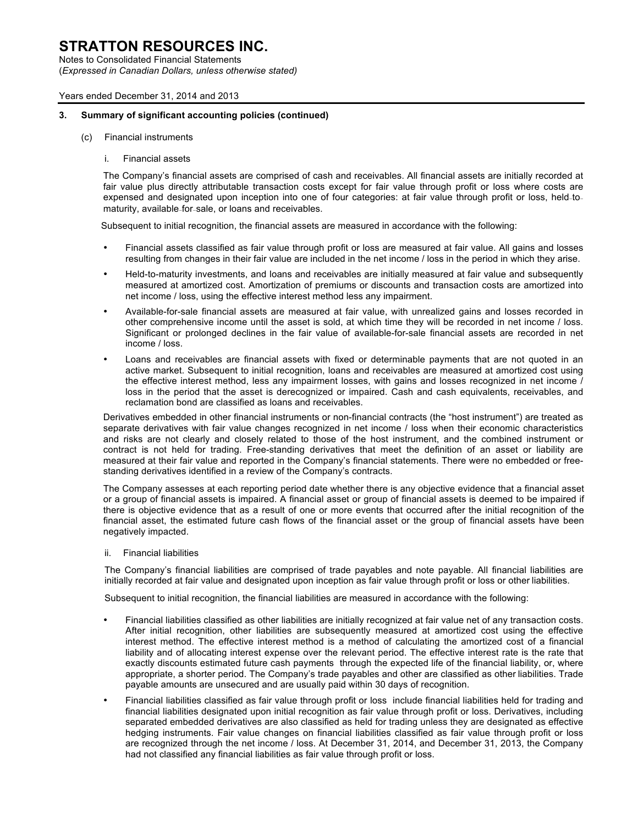Notes to Consolidated Financial Statements (*Expressed in Canadian Dollars, unless otherwise stated)*

# Years ended December 31, 2014 and 2013

# **3. Summary of significant accounting policies (continued)**

- (c) Financial instruments
	- i. Financial assets

The Company's financial assets are comprised of cash and receivables. All financial assets are initially recorded at fair value plus directly attributable transaction costs except for fair value through profit or loss where costs are expensed and designated upon inception into one of four categories: at fair value through profit or loss, held-tomaturity, available-for-sale, or loans and receivables.

Subsequent to initial recognition, the financial assets are measured in accordance with the following:

- Financial assets classified as fair value through profit or loss are measured at fair value. All gains and losses resulting from changes in their fair value are included in the net income / loss in the period in which they arise.
- Held-to-maturity investments, and loans and receivables are initially measured at fair value and subsequently measured at amortized cost. Amortization of premiums or discounts and transaction costs are amortized into net income / loss, using the effective interest method less any impairment.
- Available-for-sale financial assets are measured at fair value, with unrealized gains and losses recorded in other comprehensive income until the asset is sold, at which time they will be recorded in net income / loss. Significant or prolonged declines in the fair value of available-for-sale financial assets are recorded in net income / loss.
- Loans and receivables are financial assets with fixed or determinable payments that are not quoted in an active market. Subsequent to initial recognition, loans and receivables are measured at amortized cost using the effective interest method, less any impairment losses, with gains and losses recognized in net income / loss in the period that the asset is derecognized or impaired. Cash and cash equivalents, receivables, and reclamation bond are classified as loans and receivables.

Derivatives embedded in other financial instruments or non-financial contracts (the "host instrument") are treated as separate derivatives with fair value changes recognized in net income / loss when their economic characteristics and risks are not clearly and closely related to those of the host instrument, and the combined instrument or contract is not held for trading. Free-standing derivatives that meet the definition of an asset or liability are measured at their fair value and reported in the Company's financial statements. There were no embedded or freestanding derivatives identified in a review of the Company's contracts.

The Company assesses at each reporting period date whether there is any objective evidence that a financial asset or a group of financial assets is impaired. A financial asset or group of financial assets is deemed to be impaired if there is objective evidence that as a result of one or more events that occurred after the initial recognition of the financial asset, the estimated future cash flows of the financial asset or the group of financial assets have been negatively impacted.

ii. Financial liabilities

The Company's financial liabilities are comprised of trade payables and note payable. All financial liabilities are initially recorded at fair value and designated upon inception as fair value through profit or loss or other liabilities.

Subsequent to initial recognition, the financial liabilities are measured in accordance with the following:

- Financial liabilities classified as other liabilities are initially recognized at fair value net of any transaction costs. After initial recognition, other liabilities are subsequently measured at amortized cost using the effective interest method. The effective interest method is a method of calculating the amortized cost of a financial liability and of allocating interest expense over the relevant period. The effective interest rate is the rate that exactly discounts estimated future cash payments through the expected life of the financial liability, or, where appropriate, a shorter period. The Company's trade payables and other are classified as other liabilities. Trade payable amounts are unsecured and are usually paid within 30 days of recognition.
- Financial liabilities classified as fair value through profit or loss include financial liabilities held for trading and financial liabilities designated upon initial recognition as fair value through profit or loss. Derivatives, including separated embedded derivatives are also classified as held for trading unless they are designated as effective hedging instruments. Fair value changes on financial liabilities classified as fair value through profit or loss are recognized through the net income / loss. At December 31, 2014, and December 31, 2013, the Company had not classified any financial liabilities as fair value through profit or loss.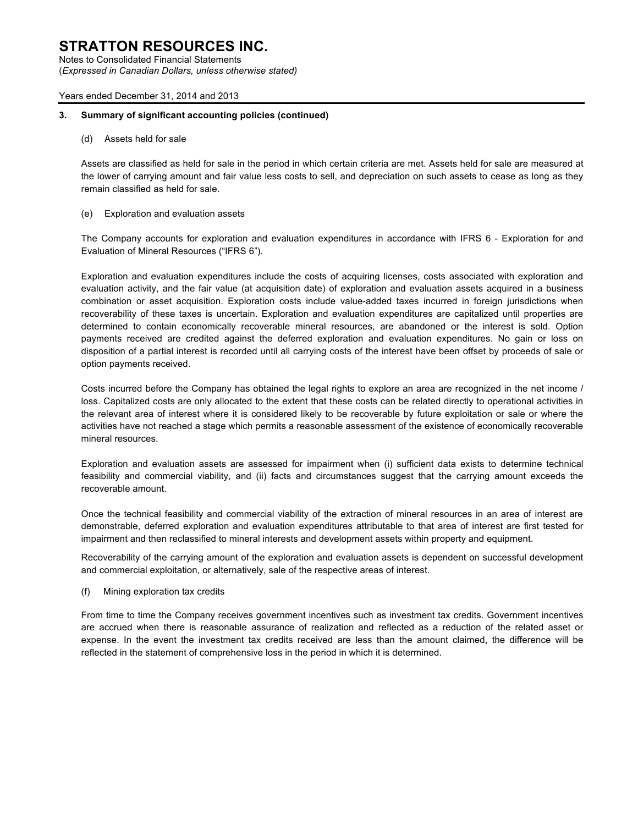Notes to Consolidated Financial Statements (*Expressed in Canadian Dollars, unless otherwise stated)*

# Years ended December 31, 2014 and 2013

# **3. Summary of significant accounting policies (continued)**

# (d) Assets held for sale

Assets are classified as held for sale in the period in which certain criteria are met. Assets held for sale are measured at the lower of carrying amount and fair value less costs to sell, and depreciation on such assets to cease as long as they remain classified as held for sale.

# (e) Exploration and evaluation assets

The Company accounts for exploration and evaluation expenditures in accordance with IFRS 6 - Exploration for and Evaluation of Mineral Resources ("IFRS 6").

Exploration and evaluation expenditures include the costs of acquiring licenses, costs associated with exploration and evaluation activity, and the fair value (at acquisition date) of exploration and evaluation assets acquired in a business combination or asset acquisition. Exploration costs include value-added taxes incurred in foreign jurisdictions when recoverability of these taxes is uncertain. Exploration and evaluation expenditures are capitalized until properties are determined to contain economically recoverable mineral resources, are abandoned or the interest is sold. Option payments received are credited against the deferred exploration and evaluation expenditures. No gain or loss on disposition of a partial interest is recorded until all carrying costs of the interest have been offset by proceeds of sale or option payments received.

Costs incurred before the Company has obtained the legal rights to explore an area are recognized in the net income / loss. Capitalized costs are only allocated to the extent that these costs can be related directly to operational activities in the relevant area of interest where it is considered likely to be recoverable by future exploitation or sale or where the activities have not reached a stage which permits a reasonable assessment of the existence of economically recoverable mineral resources.

Exploration and evaluation assets are assessed for impairment when (i) sufficient data exists to determine technical feasibility and commercial viability, and (ii) facts and circumstances suggest that the carrying amount exceeds the recoverable amount.

Once the technical feasibility and commercial viability of the extraction of mineral resources in an area of interest are demonstrable, deferred exploration and evaluation expenditures attributable to that area of interest are first tested for impairment and then reclassified to mineral interests and development assets within property and equipment.

Recoverability of the carrying amount of the exploration and evaluation assets is dependent on successful development and commercial exploitation, or alternatively, sale of the respective areas of interest.

# (f) Mining exploration tax credits

From time to time the Company receives government incentives such as investment tax credits. Government incentives are accrued when there is reasonable assurance of realization and reflected as a reduction of the related asset or expense. In the event the investment tax credits received are less than the amount claimed, the difference will be reflected in the statement of comprehensive loss in the period in which it is determined.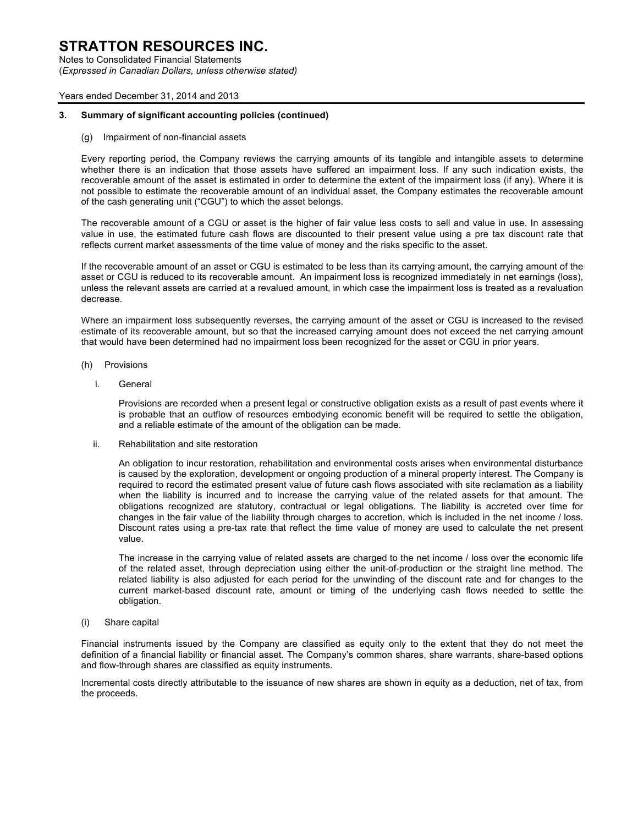Notes to Consolidated Financial Statements (*Expressed in Canadian Dollars, unless otherwise stated)*

# Years ended December 31, 2014 and 2013

# **3. Summary of significant accounting policies (continued)**

(g) Impairment of non-financial assets

Every reporting period, the Company reviews the carrying amounts of its tangible and intangible assets to determine whether there is an indication that those assets have suffered an impairment loss. If any such indication exists, the recoverable amount of the asset is estimated in order to determine the extent of the impairment loss (if any). Where it is not possible to estimate the recoverable amount of an individual asset, the Company estimates the recoverable amount of the cash generating unit ("CGU") to which the asset belongs.

The recoverable amount of a CGU or asset is the higher of fair value less costs to sell and value in use. In assessing value in use, the estimated future cash flows are discounted to their present value using a pre tax discount rate that reflects current market assessments of the time value of money and the risks specific to the asset.

If the recoverable amount of an asset or CGU is estimated to be less than its carrying amount, the carrying amount of the asset or CGU is reduced to its recoverable amount. An impairment loss is recognized immediately in net earnings (loss), unless the relevant assets are carried at a revalued amount, in which case the impairment loss is treated as a revaluation decrease.

Where an impairment loss subsequently reverses, the carrying amount of the asset or CGU is increased to the revised estimate of its recoverable amount, but so that the increased carrying amount does not exceed the net carrying amount that would have been determined had no impairment loss been recognized for the asset or CGU in prior years.

- (h) Provisions
	- i. General

Provisions are recorded when a present legal or constructive obligation exists as a result of past events where it is probable that an outflow of resources embodying economic benefit will be required to settle the obligation, and a reliable estimate of the amount of the obligation can be made.

ii. Rehabilitation and site restoration

An obligation to incur restoration, rehabilitation and environmental costs arises when environmental disturbance is caused by the exploration, development or ongoing production of a mineral property interest. The Company is required to record the estimated present value of future cash flows associated with site reclamation as a liability when the liability is incurred and to increase the carrying value of the related assets for that amount. The obligations recognized are statutory, contractual or legal obligations. The liability is accreted over time for changes in the fair value of the liability through charges to accretion, which is included in the net income / loss. Discount rates using a pre-tax rate that reflect the time value of money are used to calculate the net present value.

The increase in the carrying value of related assets are charged to the net income / loss over the economic life of the related asset, through depreciation using either the unit-of-production or the straight line method. The related liability is also adjusted for each period for the unwinding of the discount rate and for changes to the current market-based discount rate, amount or timing of the underlying cash flows needed to settle the obligation.

(i) Share capital

Financial instruments issued by the Company are classified as equity only to the extent that they do not meet the definition of a financial liability or financial asset. The Company's common shares, share warrants, share-based options and flow-through shares are classified as equity instruments.

Incremental costs directly attributable to the issuance of new shares are shown in equity as a deduction, net of tax, from the proceeds.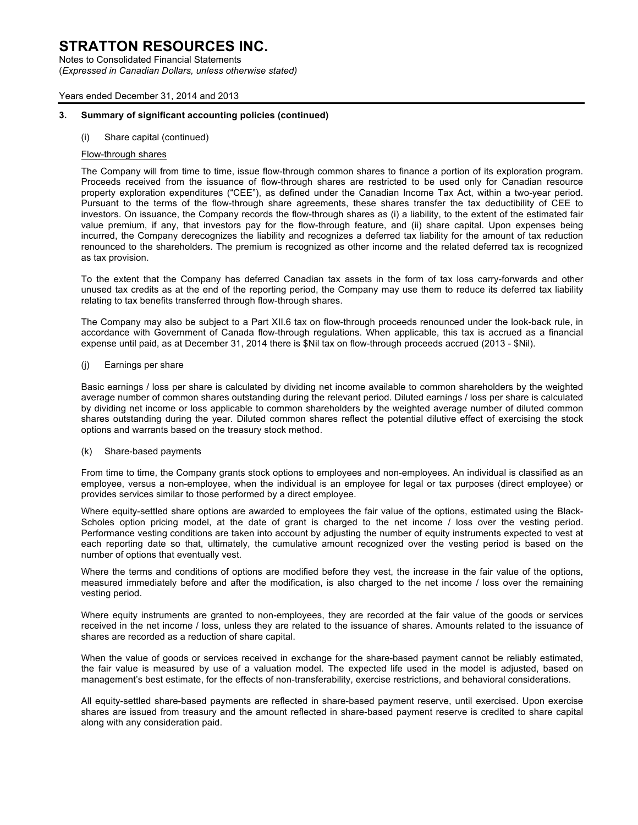Notes to Consolidated Financial Statements (*Expressed in Canadian Dollars, unless otherwise stated)*

# Years ended December 31, 2014 and 2013

# **3. Summary of significant accounting policies (continued)**

(i) Share capital (continued)

# Flow-through shares

The Company will from time to time, issue flow-through common shares to finance a portion of its exploration program. Proceeds received from the issuance of flow-through shares are restricted to be used only for Canadian resource property exploration expenditures ("CEE"), as defined under the Canadian Income Tax Act, within a two-year period. Pursuant to the terms of the flow-through share agreements, these shares transfer the tax deductibility of CEE to investors. On issuance, the Company records the flow-through shares as (i) a liability, to the extent of the estimated fair value premium, if any, that investors pay for the flow-through feature, and (ii) share capital. Upon expenses being incurred, the Company derecognizes the liability and recognizes a deferred tax liability for the amount of tax reduction renounced to the shareholders. The premium is recognized as other income and the related deferred tax is recognized as tax provision.

To the extent that the Company has deferred Canadian tax assets in the form of tax loss carry-forwards and other unused tax credits as at the end of the reporting period, the Company may use them to reduce its deferred tax liability relating to tax benefits transferred through flow-through shares.

The Company may also be subject to a Part XII.6 tax on flow-through proceeds renounced under the look-back rule, in accordance with Government of Canada flow-through regulations. When applicable, this tax is accrued as a financial expense until paid, as at December 31, 2014 there is \$Nil tax on flow-through proceeds accrued (2013 - \$Nil).

#### (j) Earnings per share

Basic earnings / loss per share is calculated by dividing net income available to common shareholders by the weighted average number of common shares outstanding during the relevant period. Diluted earnings / loss per share is calculated by dividing net income or loss applicable to common shareholders by the weighted average number of diluted common shares outstanding during the year. Diluted common shares reflect the potential dilutive effect of exercising the stock options and warrants based on the treasury stock method.

# (k) Share-based payments

From time to time, the Company grants stock options to employees and non-employees. An individual is classified as an employee, versus a non-employee, when the individual is an employee for legal or tax purposes (direct employee) or provides services similar to those performed by a direct employee.

Where equity-settled share options are awarded to employees the fair value of the options, estimated using the Black-Scholes option pricing model, at the date of grant is charged to the net income / loss over the vesting period. Performance vesting conditions are taken into account by adjusting the number of equity instruments expected to vest at each reporting date so that, ultimately, the cumulative amount recognized over the vesting period is based on the number of options that eventually vest.

Where the terms and conditions of options are modified before they vest, the increase in the fair value of the options, measured immediately before and after the modification, is also charged to the net income / loss over the remaining vesting period.

Where equity instruments are granted to non-employees, they are recorded at the fair value of the goods or services received in the net income / loss, unless they are related to the issuance of shares. Amounts related to the issuance of shares are recorded as a reduction of share capital.

When the value of goods or services received in exchange for the share-based payment cannot be reliably estimated, the fair value is measured by use of a valuation model. The expected life used in the model is adjusted, based on management's best estimate, for the effects of non-transferability, exercise restrictions, and behavioral considerations.

All equity-settled share-based payments are reflected in share-based payment reserve, until exercised. Upon exercise shares are issued from treasury and the amount reflected in share-based payment reserve is credited to share capital along with any consideration paid.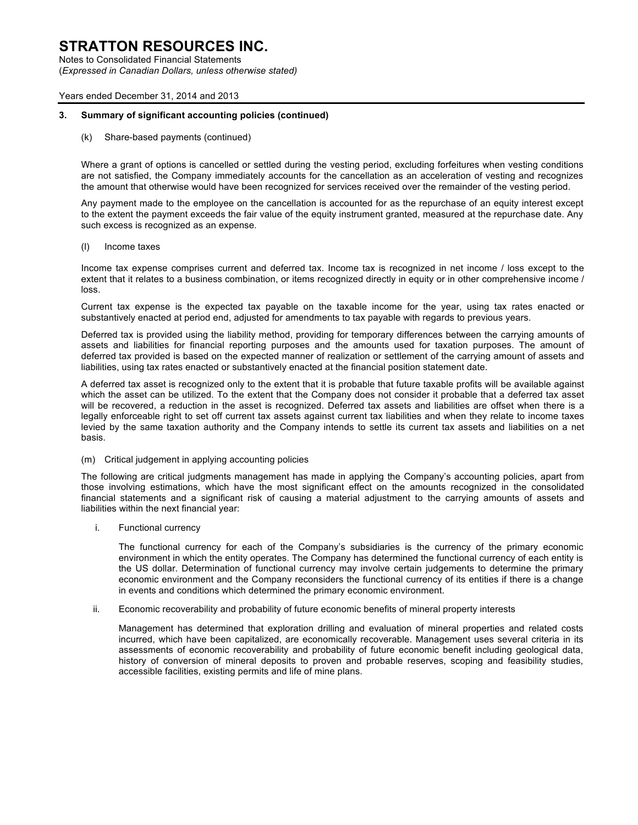Notes to Consolidated Financial Statements (*Expressed in Canadian Dollars, unless otherwise stated)*

# Years ended December 31, 2014 and 2013

# **3. Summary of significant accounting policies (continued)**

(k) Share-based payments (continued)

Where a grant of options is cancelled or settled during the vesting period, excluding forfeitures when vesting conditions are not satisfied, the Company immediately accounts for the cancellation as an acceleration of vesting and recognizes the amount that otherwise would have been recognized for services received over the remainder of the vesting period.

Any payment made to the employee on the cancellation is accounted for as the repurchase of an equity interest except to the extent the payment exceeds the fair value of the equity instrument granted, measured at the repurchase date. Any such excess is recognized as an expense.

# (l) Income taxes

Income tax expense comprises current and deferred tax. Income tax is recognized in net income / loss except to the extent that it relates to a business combination, or items recognized directly in equity or in other comprehensive income / loss.

Current tax expense is the expected tax payable on the taxable income for the year, using tax rates enacted or substantively enacted at period end, adjusted for amendments to tax payable with regards to previous years.

Deferred tax is provided using the liability method, providing for temporary differences between the carrying amounts of assets and liabilities for financial reporting purposes and the amounts used for taxation purposes. The amount of deferred tax provided is based on the expected manner of realization or settlement of the carrying amount of assets and liabilities, using tax rates enacted or substantively enacted at the financial position statement date.

A deferred tax asset is recognized only to the extent that it is probable that future taxable profits will be available against which the asset can be utilized. To the extent that the Company does not consider it probable that a deferred tax asset will be recovered, a reduction in the asset is recognized. Deferred tax assets and liabilities are offset when there is a legally enforceable right to set off current tax assets against current tax liabilities and when they relate to income taxes levied by the same taxation authority and the Company intends to settle its current tax assets and liabilities on a net basis.

(m) Critical judgement in applying accounting policies

The following are critical judgments management has made in applying the Company's accounting policies, apart from those involving estimations, which have the most significant effect on the amounts recognized in the consolidated financial statements and a significant risk of causing a material adjustment to the carrying amounts of assets and liabilities within the next financial year:

i. Functional currency

The functional currency for each of the Company's subsidiaries is the currency of the primary economic environment in which the entity operates. The Company has determined the functional currency of each entity is the US dollar. Determination of functional currency may involve certain judgements to determine the primary economic environment and the Company reconsiders the functional currency of its entities if there is a change in events and conditions which determined the primary economic environment.

# ii. Economic recoverability and probability of future economic benefits of mineral property interests

Management has determined that exploration drilling and evaluation of mineral properties and related costs incurred, which have been capitalized, are economically recoverable. Management uses several criteria in its assessments of economic recoverability and probability of future economic benefit including geological data, history of conversion of mineral deposits to proven and probable reserves, scoping and feasibility studies, accessible facilities, existing permits and life of mine plans.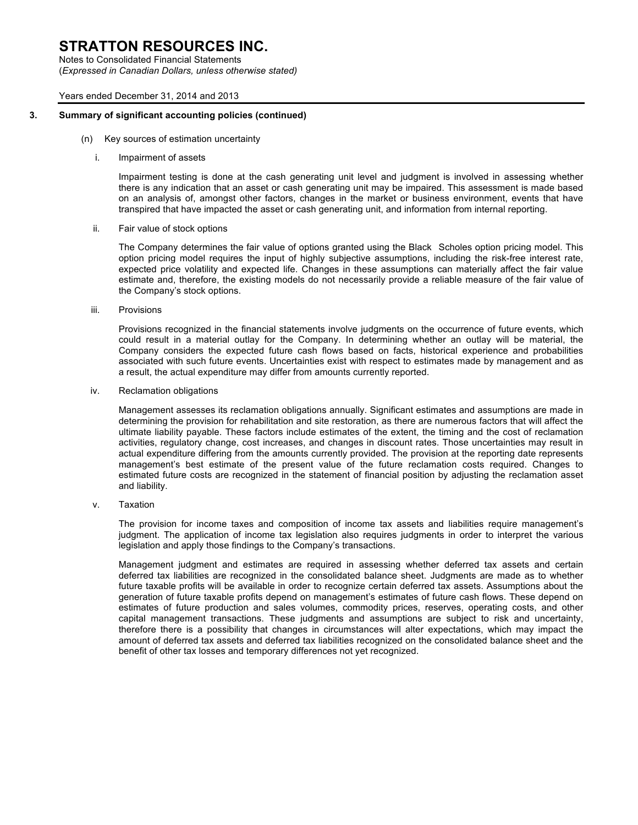Notes to Consolidated Financial Statements (*Expressed in Canadian Dollars, unless otherwise stated)*

# Years ended December 31, 2014 and 2013

### **3. Summary of significant accounting policies (continued)**

- (n) Key sources of estimation uncertainty
	- i. Impairment of assets

Impairment testing is done at the cash generating unit level and judgment is involved in assessing whether there is any indication that an asset or cash generating unit may be impaired. This assessment is made based on an analysis of, amongst other factors, changes in the market or business environment, events that have transpired that have impacted the asset or cash generating unit, and information from internal reporting.

#### ii. Fair value of stock options

The Company determines the fair value of options granted using the Black Scholes option pricing model. This option pricing model requires the input of highly subjective assumptions, including the risk-free interest rate, expected price volatility and expected life. Changes in these assumptions can materially affect the fair value estimate and, therefore, the existing models do not necessarily provide a reliable measure of the fair value of the Company's stock options.

iii. Provisions

Provisions recognized in the financial statements involve judgments on the occurrence of future events, which could result in a material outlay for the Company. In determining whether an outlay will be material, the Company considers the expected future cash flows based on facts, historical experience and probabilities associated with such future events. Uncertainties exist with respect to estimates made by management and as a result, the actual expenditure may differ from amounts currently reported.

iv. Reclamation obligations

Management assesses its reclamation obligations annually. Significant estimates and assumptions are made in determining the provision for rehabilitation and site restoration, as there are numerous factors that will affect the ultimate liability payable. These factors include estimates of the extent, the timing and the cost of reclamation activities, regulatory change, cost increases, and changes in discount rates. Those uncertainties may result in actual expenditure differing from the amounts currently provided. The provision at the reporting date represents management's best estimate of the present value of the future reclamation costs required. Changes to estimated future costs are recognized in the statement of financial position by adjusting the reclamation asset and liability.

v. Taxation

The provision for income taxes and composition of income tax assets and liabilities require management's judgment. The application of income tax legislation also requires judgments in order to interpret the various legislation and apply those findings to the Company's transactions.

Management judgment and estimates are required in assessing whether deferred tax assets and certain deferred tax liabilities are recognized in the consolidated balance sheet. Judgments are made as to whether future taxable profits will be available in order to recognize certain deferred tax assets. Assumptions about the generation of future taxable profits depend on management's estimates of future cash flows. These depend on estimates of future production and sales volumes, commodity prices, reserves, operating costs, and other capital management transactions. These judgments and assumptions are subject to risk and uncertainty, therefore there is a possibility that changes in circumstances will alter expectations, which may impact the amount of deferred tax assets and deferred tax liabilities recognized on the consolidated balance sheet and the benefit of other tax losses and temporary differences not yet recognized.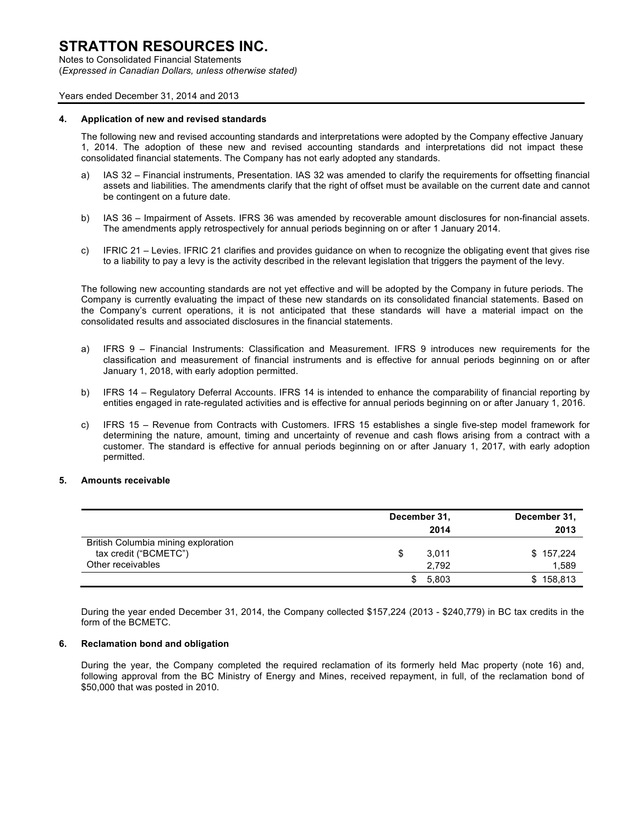Notes to Consolidated Financial Statements (*Expressed in Canadian Dollars, unless otherwise stated)*

## Years ended December 31, 2014 and 2013

#### **4. Application of new and revised standards**

The following new and revised accounting standards and interpretations were adopted by the Company effective January 1, 2014. The adoption of these new and revised accounting standards and interpretations did not impact these consolidated financial statements. The Company has not early adopted any standards.

- a) IAS 32 Financial instruments, Presentation. IAS 32 was amended to clarify the requirements for offsetting financial assets and liabilities. The amendments clarify that the right of offset must be available on the current date and cannot be contingent on a future date.
- b) IAS 36 Impairment of Assets. IFRS 36 was amended by recoverable amount disclosures for non-financial assets. The amendments apply retrospectively for annual periods beginning on or after 1 January 2014.
- c) IFRIC 21 Levies. IFRIC 21 clarifies and provides guidance on when to recognize the obligating event that gives rise to a liability to pay a levy is the activity described in the relevant legislation that triggers the payment of the levy.

The following new accounting standards are not yet effective and will be adopted by the Company in future periods. The Company is currently evaluating the impact of these new standards on its consolidated financial statements. Based on the Company's current operations, it is not anticipated that these standards will have a material impact on the consolidated results and associated disclosures in the financial statements.

- a) IFRS 9 Financial Instruments: Classification and Measurement. IFRS 9 introduces new requirements for the classification and measurement of financial instruments and is effective for annual periods beginning on or after January 1, 2018, with early adoption permitted.
- b) IFRS 14 Regulatory Deferral Accounts. IFRS 14 is intended to enhance the comparability of financial reporting by entities engaged in rate-regulated activities and is effective for annual periods beginning on or after January 1, 2016.
- c) IFRS 15 Revenue from Contracts with Customers. IFRS 15 establishes a single five-step model framework for determining the nature, amount, timing and uncertainty of revenue and cash flows arising from a contract with a customer. The standard is effective for annual periods beginning on or after January 1, 2017, with early adoption permitted.

#### **5. Amounts receivable**

|                                     | December 31, |       | December 31, |
|-------------------------------------|--------------|-------|--------------|
|                                     |              | 2014  | 2013         |
| British Columbia mining exploration |              |       |              |
| tax credit ("BCMETC")               |              | 3,011 | \$157,224    |
| Other receivables                   |              | 2.792 | 1,589        |
|                                     |              | 5.803 | \$158,813    |

During the year ended December 31, 2014, the Company collected \$157,224 (2013 - \$240,779) in BC tax credits in the form of the BCMETC.

#### **6. Reclamation bond and obligation**

During the year, the Company completed the required reclamation of its formerly held Mac property (note 16) and, following approval from the BC Ministry of Energy and Mines, received repayment, in full, of the reclamation bond of \$50,000 that was posted in 2010.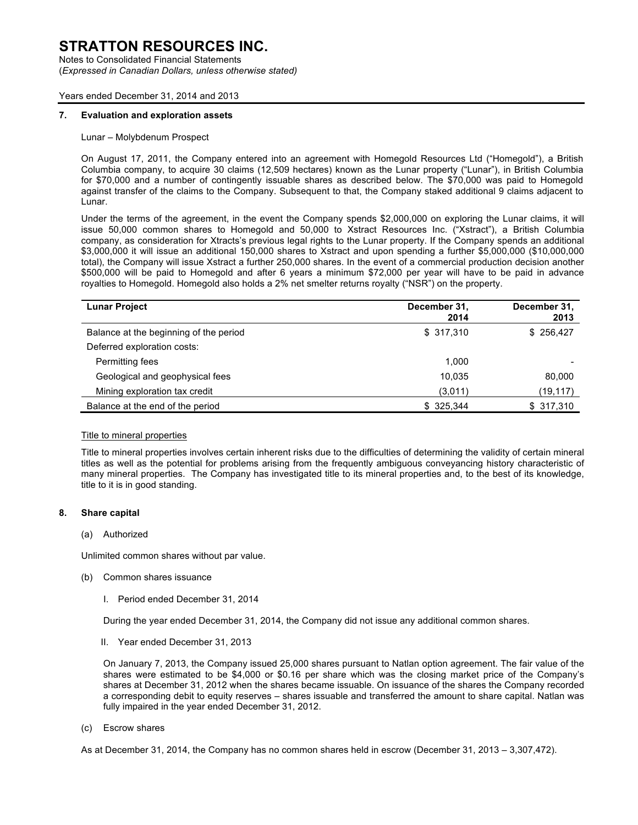Notes to Consolidated Financial Statements (*Expressed in Canadian Dollars, unless otherwise stated)*

# Years ended December 31, 2014 and 2013

#### **7. Evaluation and exploration assets**

#### Lunar – Molybdenum Prospect

On August 17, 2011, the Company entered into an agreement with Homegold Resources Ltd ("Homegold"), a British Columbia company, to acquire 30 claims (12,509 hectares) known as the Lunar property ("Lunar"), in British Columbia for \$70,000 and a number of contingently issuable shares as described below. The \$70,000 was paid to Homegold against transfer of the claims to the Company. Subsequent to that, the Company staked additional 9 claims adjacent to Lunar.

Under the terms of the agreement, in the event the Company spends \$2,000,000 on exploring the Lunar claims, it will issue 50,000 common shares to Homegold and 50,000 to Xstract Resources Inc. ("Xstract"), a British Columbia company, as consideration for Xtracts's previous legal rights to the Lunar property. If the Company spends an additional \$3,000,000 it will issue an additional 150,000 shares to Xstract and upon spending a further \$5,000,000 (\$10,000,000 total), the Company will issue Xstract a further 250,000 shares. In the event of a commercial production decision another \$500,000 will be paid to Homegold and after 6 years a minimum \$72,000 per year will have to be paid in advance royalties to Homegold. Homegold also holds a 2% net smelter returns royalty ("NSR") on the property.

| <b>Lunar Project</b>                   | December 31,<br>2014 | December 31,<br>2013 |
|----------------------------------------|----------------------|----------------------|
| Balance at the beginning of the period | \$317,310            | \$256,427            |
| Deferred exploration costs:            |                      |                      |
| Permitting fees                        | 1.000                |                      |
| Geological and geophysical fees        | 10.035               | 80,000               |
| Mining exploration tax credit          | (3,011)              | (19,117)             |
| Balance at the end of the period       | \$ 325,344           | \$317,310            |

# Title to mineral properties

Title to mineral properties involves certain inherent risks due to the difficulties of determining the validity of certain mineral titles as well as the potential for problems arising from the frequently ambiguous conveyancing history characteristic of many mineral properties. The Company has investigated title to its mineral properties and, to the best of its knowledge, title to it is in good standing.

# **8. Share capital**

# (a) Authorized

Unlimited common shares without par value.

- (b) Common shares issuance
	- I. Period ended December 31, 2014

During the year ended December 31, 2014, the Company did not issue any additional common shares.

II. Year ended December 31, 2013

On January 7, 2013, the Company issued 25,000 shares pursuant to Natlan option agreement. The fair value of the shares were estimated to be \$4,000 or \$0.16 per share which was the closing market price of the Company's shares at December 31, 2012 when the shares became issuable. On issuance of the shares the Company recorded a corresponding debit to equity reserves – shares issuable and transferred the amount to share capital. Natlan was fully impaired in the year ended December 31, 2012.

(c) Escrow shares

As at December 31, 2014, the Company has no common shares held in escrow (December 31, 2013 – 3,307,472).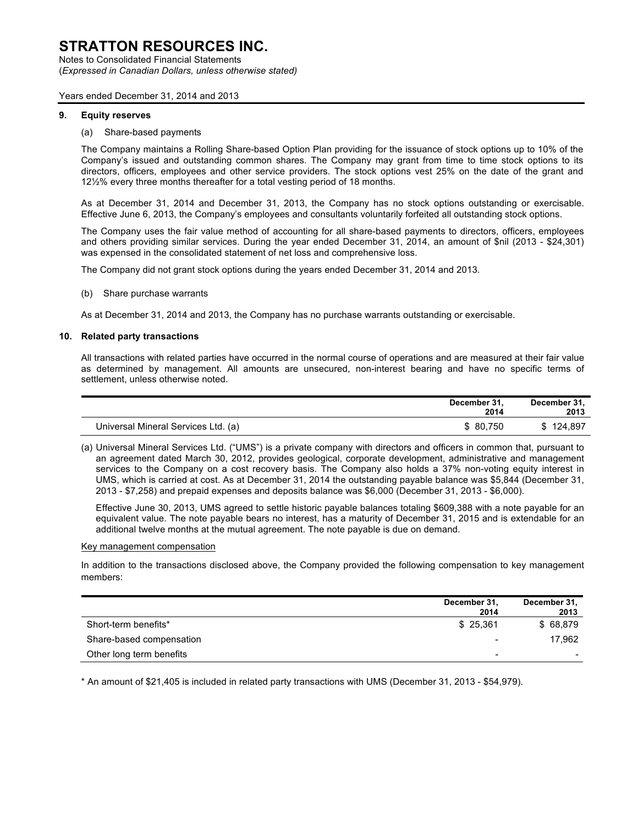Notes to Consolidated Financial Statements (*Expressed in Canadian Dollars, unless otherwise stated)*

#### Years ended December 31, 2014 and 2013

#### **9. Equity reserves**

#### (a) Share-based payments

The Company maintains a Rolling Share-based Option Plan providing for the issuance of stock options up to 10% of the Company's issued and outstanding common shares. The Company may grant from time to time stock options to its directors, officers, employees and other service providers. The stock options vest 25% on the date of the grant and 12½% every three months thereafter for a total vesting period of 18 months.

As at December 31, 2014 and December 31, 2013, the Company has no stock options outstanding or exercisable. Effective June 6, 2013, the Company's employees and consultants voluntarily forfeited all outstanding stock options.

The Company uses the fair value method of accounting for all share-based payments to directors, officers, employees and others providing similar services. During the year ended December 31, 2014, an amount of \$nil (2013 - \$24,301) was expensed in the consolidated statement of net loss and comprehensive loss.

The Company did not grant stock options during the years ended December 31, 2014 and 2013.

(b) Share purchase warrants

As at December 31, 2014 and 2013, the Company has no purchase warrants outstanding or exercisable.

#### **10. Related party transactions**

All transactions with related parties have occurred in the normal course of operations and are measured at their fair value as determined by management. All amounts are unsecured, non-interest bearing and have no specific terms of settlement, unless otherwise noted.

|                                     | December 31.<br>2014 | December 31,<br>2013 |
|-------------------------------------|----------------------|----------------------|
| Universal Mineral Services Ltd. (a) | \$ 80.750            | \$124.897            |

(a) Universal Mineral Services Ltd. ("UMS") is a private company with directors and officers in common that, pursuant to an agreement dated March 30, 2012, provides geological, corporate development, administrative and management services to the Company on a cost recovery basis. The Company also holds a 37% non-voting equity interest in UMS, which is carried at cost. As at December 31, 2014 the outstanding payable balance was \$5,844 (December 31, 2013 - \$7,258) and prepaid expenses and deposits balance was \$6,000 (December 31, 2013 - \$6,000).

Effective June 30, 2013, UMS agreed to settle historic payable balances totaling \$609,388 with a note payable for an equivalent value. The note payable bears no interest, has a maturity of December 31, 2015 and is extendable for an additional twelve months at the mutual agreement. The note payable is due on demand.

#### Key management compensation

In addition to the transactions disclosed above, the Company provided the following compensation to key management members:

|                          | December 31,             | December 31,             |
|--------------------------|--------------------------|--------------------------|
|                          | 2014                     | 2013                     |
| Short-term benefits*     | \$25.361                 | \$68.879                 |
| Share-based compensation | $\overline{\phantom{0}}$ | 17.962                   |
| Other long term benefits | $\overline{\phantom{0}}$ | $\overline{\phantom{0}}$ |

\* An amount of \$21,405 is included in related party transactions with UMS (December 31, 2013 - \$54,979).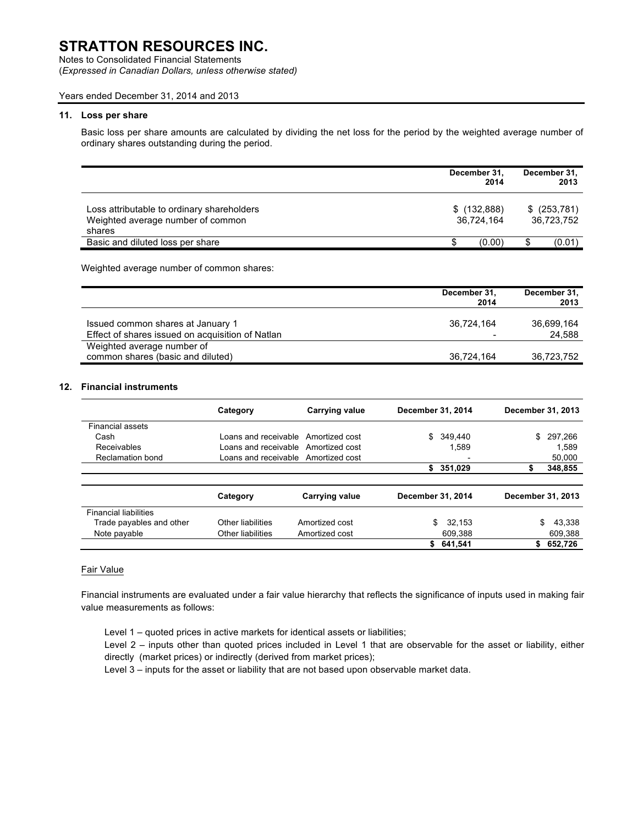Notes to Consolidated Financial Statements

(*Expressed in Canadian Dollars, unless otherwise stated)*

# Years ended December 31, 2014 and 2013

# **11. Loss per share**

Basic loss per share amounts are calculated by dividing the net loss for the period by the weighted average number of ordinary shares outstanding during the period.

|                                                                                           | December 31,<br>2014      | December 31,<br>2013       |
|-------------------------------------------------------------------------------------------|---------------------------|----------------------------|
| Loss attributable to ordinary shareholders<br>Weighted average number of common<br>shares | \$(132,888)<br>36.724.164 | \$ (253,781)<br>36,723,752 |
| Basic and diluted loss per share                                                          | (0.00)                    | (0.01)                     |

Weighted average number of common shares:

|                                                                                       | December 31,<br>2014 | December 31,<br>2013 |
|---------------------------------------------------------------------------------------|----------------------|----------------------|
| Issued common shares at January 1<br>Effect of shares issued on acquisition of Natlan | 36.724.164           | 36,699,164<br>24,588 |
| Weighted average number of<br>common shares (basic and diluted)                       | 36,724,164           | 36,723,752           |

# **12. Financial instruments**

|                              | Category          | <b>Carrying value</b>               | December 31, 2014 |              | December 31, 2013 |              |
|------------------------------|-------------------|-------------------------------------|-------------------|--------------|-------------------|--------------|
| <b>Financial assets</b>      |                   |                                     |                   |              |                   |              |
| Cash                         |                   | Loans and receivable Amortized cost | \$.               | 349.440      |                   | 297.266      |
| Receivables                  |                   | Loans and receivable Amortized cost |                   | 1.589        |                   | 1.589        |
| Reclamation bond             |                   | Loans and receivable Amortized cost |                   |              |                   | 50.000       |
|                              |                   |                                     | \$                | 351,029      |                   | 348,855      |
|                              |                   |                                     |                   |              |                   |              |
|                              | Category          | <b>Carrying value</b>               | December 31, 2014 |              | December 31, 2013 |              |
| <b>Financial liabilities</b> |                   |                                     |                   |              |                   |              |
| Trade payables and other     | Other liabilities | Amortized cost                      |                   | 32.153<br>\$ |                   | 43,338<br>\$ |
| Note payable                 | Other liabilities | Amortized cost                      |                   | 609.388      |                   | 609.388      |
|                              |                   |                                     | \$                | 641.541      |                   | 652.726      |

# Fair Value

Financial instruments are evaluated under a fair value hierarchy that reflects the significance of inputs used in making fair value measurements as follows:

Level 1 – quoted prices in active markets for identical assets or liabilities;

Level 2 – inputs other than quoted prices included in Level 1 that are observable for the asset or liability, either directly (market prices) or indirectly (derived from market prices);

Level 3 – inputs for the asset or liability that are not based upon observable market data.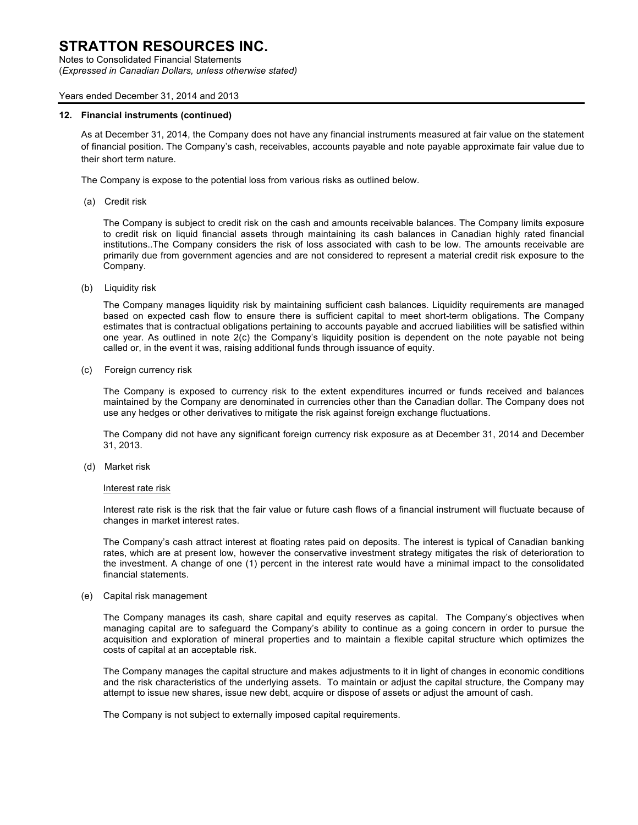Notes to Consolidated Financial Statements (*Expressed in Canadian Dollars, unless otherwise stated)*

# Years ended December 31, 2014 and 2013

### **12. Financial instruments (continued)**

As at December 31, 2014, the Company does not have any financial instruments measured at fair value on the statement of financial position. The Company's cash, receivables, accounts payable and note payable approximate fair value due to their short term nature.

The Company is expose to the potential loss from various risks as outlined below.

(a) Credit risk

The Company is subject to credit risk on the cash and amounts receivable balances. The Company limits exposure to credit risk on liquid financial assets through maintaining its cash balances in Canadian highly rated financial institutions..The Company considers the risk of loss associated with cash to be low. The amounts receivable are primarily due from government agencies and are not considered to represent a material credit risk exposure to the Company.

(b) Liquidity risk

The Company manages liquidity risk by maintaining sufficient cash balances. Liquidity requirements are managed based on expected cash flow to ensure there is sufficient capital to meet short-term obligations. The Company estimates that is contractual obligations pertaining to accounts payable and accrued liabilities will be satisfied within one year. As outlined in note 2(c) the Company's liquidity position is dependent on the note payable not being called or, in the event it was, raising additional funds through issuance of equity.

(c) Foreign currency risk

The Company is exposed to currency risk to the extent expenditures incurred or funds received and balances maintained by the Company are denominated in currencies other than the Canadian dollar. The Company does not use any hedges or other derivatives to mitigate the risk against foreign exchange fluctuations.

The Company did not have any significant foreign currency risk exposure as at December 31, 2014 and December 31, 2013.

(d) Market risk

# Interest rate risk

Interest rate risk is the risk that the fair value or future cash flows of a financial instrument will fluctuate because of changes in market interest rates.

The Company's cash attract interest at floating rates paid on deposits. The interest is typical of Canadian banking rates, which are at present low, however the conservative investment strategy mitigates the risk of deterioration to the investment. A change of one (1) percent in the interest rate would have a minimal impact to the consolidated financial statements.

(e) Capital risk management

The Company manages its cash, share capital and equity reserves as capital. The Company's objectives when managing capital are to safeguard the Company's ability to continue as a going concern in order to pursue the acquisition and exploration of mineral properties and to maintain a flexible capital structure which optimizes the costs of capital at an acceptable risk.

The Company manages the capital structure and makes adjustments to it in light of changes in economic conditions and the risk characteristics of the underlying assets. To maintain or adjust the capital structure, the Company may attempt to issue new shares, issue new debt, acquire or dispose of assets or adjust the amount of cash.

The Company is not subject to externally imposed capital requirements.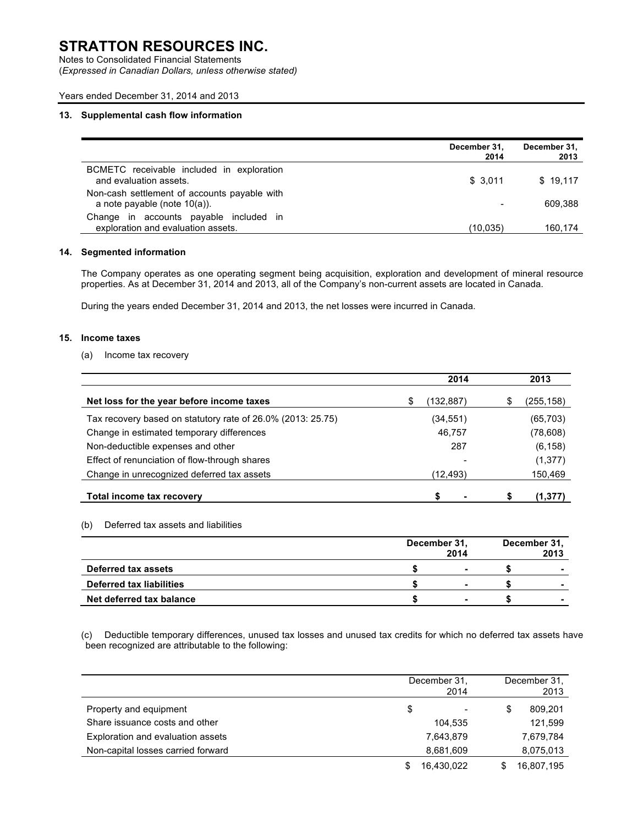Notes to Consolidated Financial Statements (*Expressed in Canadian Dollars, unless otherwise stated)*

# Years ended December 31, 2014 and 2013

# **13. Supplemental cash flow information**

|                                                                                 | December 31,<br>2014 | December 31,<br>2013 |
|---------------------------------------------------------------------------------|----------------------|----------------------|
| BCMETC receivable included in exploration<br>and evaluation assets.             | \$3.011              | \$19,117             |
| Non-cash settlement of accounts payable with<br>a note payable (note $10(a)$ ). |                      | 609.388              |
| Change in accounts payable included in<br>exploration and evaluation assets.    | (10, 035)            | 160,174              |

# **14. Segmented information**

The Company operates as one operating segment being acquisition, exploration and development of mineral resource properties. As at December 31, 2014 and 2013, all of the Company's non-current assets are located in Canada.

During the years ended December 31, 2014 and 2013, the net losses were incurred in Canada.

# **15. Income taxes**

(a) Income tax recovery

|                                                             | 2014            | 2013           |
|-------------------------------------------------------------|-----------------|----------------|
| Net loss for the year before income taxes                   | \$<br>(132,887) | (255,158)<br>S |
| Tax recovery based on statutory rate of 26.0% (2013: 25.75) | (34,551)        | (65, 703)      |
| Change in estimated temporary differences                   | 46,757          | (78,608)       |
| Non-deductible expenses and other                           | 287             | (6, 158)       |
| Effect of renunciation of flow-through shares               |                 | (1,377)        |
| Change in unrecognized deferred tax assets                  | (12, 493)       | 150,469        |
| Total income tax recovery                                   |                 | (1, 377)       |

# (b) Deferred tax assets and liabilities

|                            | December 31, | December 31,             |
|----------------------------|--------------|--------------------------|
|                            | 2014         | 2013                     |
| <b>Deferred tax assets</b> |              | $\overline{\phantom{0}}$ |
| Deferred tax liabilities   | -            | $\blacksquare$           |
| Net deferred tax balance   |              | $\blacksquare$           |

(c) Deductible temporary differences, unused tax losses and unused tax credits for which no deferred tax assets have been recognized are attributable to the following:

|                                    | December 31,<br>2014 |            | December 31,<br>2013 |            |
|------------------------------------|----------------------|------------|----------------------|------------|
| Property and equipment             | \$                   | -          | \$                   | 809.201    |
| Share issuance costs and other     |                      | 104.535    |                      | 121,599    |
| Exploration and evaluation assets  |                      | 7,643,879  |                      | 7,679,784  |
| Non-capital losses carried forward |                      | 8,681,609  |                      | 8,075,013  |
|                                    | S                    | 16.430.022 | S                    | 16,807,195 |